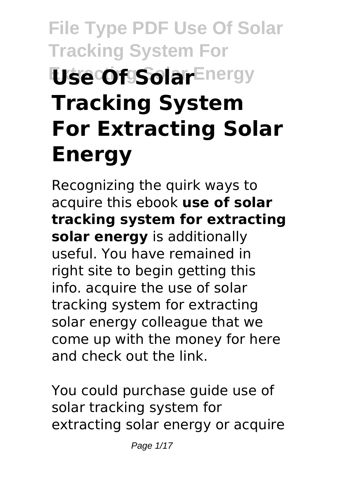# **File Type PDF Use Of Solar Tracking System For Use Of Solar Energy Tracking System For Extracting Solar Energy**

Recognizing the quirk ways to acquire this ebook **use of solar tracking system for extracting solar energy** is additionally useful. You have remained in right site to begin getting this info. acquire the use of solar tracking system for extracting solar energy colleague that we come up with the money for here and check out the link.

You could purchase guide use of solar tracking system for extracting solar energy or acquire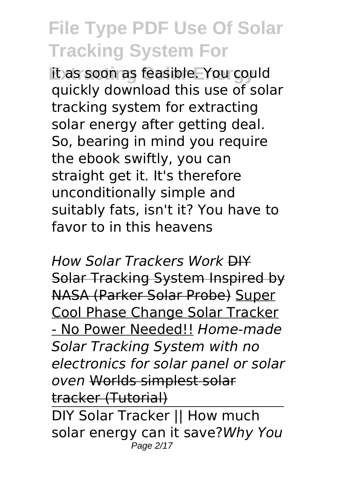**Extracting Solar Energy** it as soon as feasible. You could quickly download this use of solar tracking system for extracting solar energy after getting deal. So, bearing in mind you require the ebook swiftly, you can straight get it. It's therefore unconditionally simple and suitably fats, isn't it? You have to favor to in this heavens

*How Solar Trackers Work* DIY Solar Tracking System Inspired by NASA (Parker Solar Probe) Super Cool Phase Change Solar Tracker - No Power Needed!! *Home-made Solar Tracking System with no electronics for solar panel or solar oven* Worlds simplest solar tracker (Tutorial) DIY Solar Tracker || How much solar energy can it save?*Why You* Page 2/17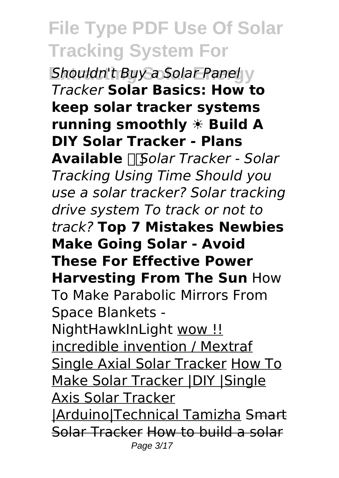**Shouldn't Buy a Solar Panel V** *Tracker* **Solar Basics: How to keep solar tracker systems running smoothly ☀️ Build A DIY Solar Tracker - Plans Available** *Solar Tracker - Solar Tracking Using Time Should you use a solar tracker? Solar tracking drive system To track or not to track?* **Top 7 Mistakes Newbies Make Going Solar - Avoid These For Effective Power Harvesting From The Sun** How To Make Parabolic Mirrors From Space Blankets - NightHawkInLight wow !! incredible invention / Mextraf Single Axial Solar Tracker How To Make Solar Tracker |DIY |Single Axis Solar Tracker |Arduino|Technical Tamizha Smart Solar Tracker How to build a solar Page 3/17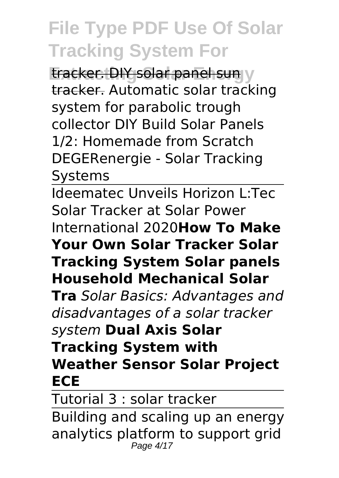**Eracker. DIY solar panel sun v** tracker. Automatic solar tracking system for parabolic trough collector DIY Build Solar Panels 1/2: Homemade from Scratch DEGERenergie - Solar Tracking Systems

Ideematec Unveils Horizon L:Tec Solar Tracker at Solar Power International 2020**How To Make Your Own Solar Tracker Solar Tracking System Solar panels Household Mechanical Solar Tra** *Solar Basics: Advantages and disadvantages of a solar tracker system* **Dual Axis Solar Tracking System with Weather Sensor Solar Project ECE**

Tutorial 3 : solar tracker

Building and scaling up an energy analytics platform to support grid Page 4/17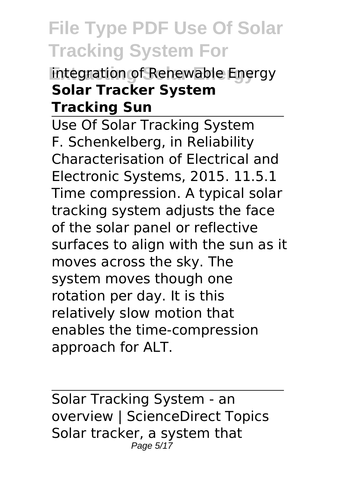#### **Entegration of Renewable Energy Solar Tracker System Tracking Sun**

Use Of Solar Tracking System F. Schenkelberg, in Reliability Characterisation of Electrical and Electronic Systems, 2015. 11.5.1 Time compression. A typical solar tracking system adjusts the face of the solar panel or reflective surfaces to align with the sun as it moves across the sky. The system moves though one rotation per day. It is this relatively slow motion that enables the time-compression approach for ALT.

Solar Tracking System - an overview | ScienceDirect Topics Solar tracker, a system that Page  $5/17$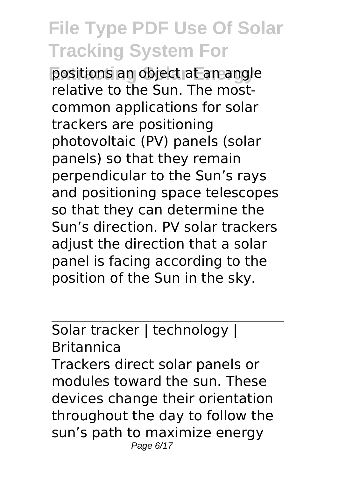**Positions an object at an angle** relative to the Sun. The mostcommon applications for solar trackers are positioning photovoltaic (PV) panels (solar panels) so that they remain perpendicular to the Sun's rays and positioning space telescopes so that they can determine the Sun's direction. PV solar trackers adjust the direction that a solar panel is facing according to the position of the Sun in the sky.

#### Solar tracker | technology | Britannica

Trackers direct solar panels or modules toward the sun. These devices change their orientation throughout the day to follow the sun's path to maximize energy Page 6/17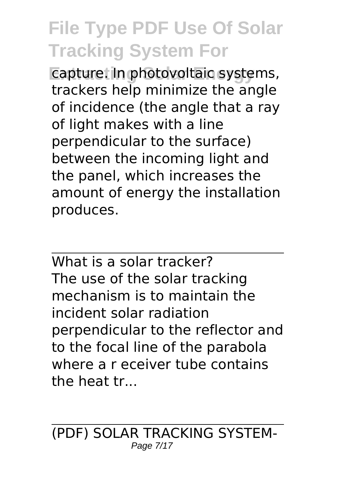**Exapture: In photovoltaic systems,** trackers help minimize the angle of incidence (the angle that a ray of light makes with a line perpendicular to the surface) between the incoming light and the panel, which increases the amount of energy the installation produces.

What is a solar tracker? The use of the solar tracking mechanism is to maintain the incident solar radiation perpendicular to the reflector and to the focal line of the parabola where a r eceiver tube contains the heat tr...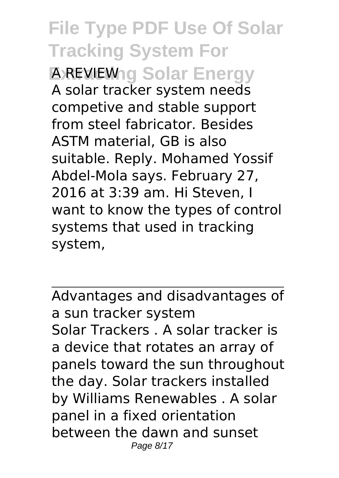**File Type PDF Use Of Solar Tracking System For Extractional Solar Energy** A solar tracker system needs competive and stable support from steel fabricator. Besides ASTM material, GB is also suitable. Reply. Mohamed Yossif Abdel-Mola says. February 27, 2016 at 3:39 am. Hi Steven, I want to know the types of control systems that used in tracking system,

Advantages and disadvantages of a sun tracker system Solar Trackers . A solar tracker is a device that rotates an array of panels toward the sun throughout the day. Solar trackers installed by Williams Renewables . A solar panel in a fixed orientation between the dawn and sunset Page 8/17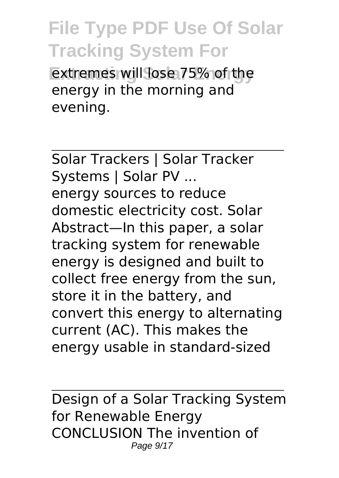**Extremes will lose 75% of the** energy in the morning and evening.

Solar Trackers | Solar Tracker Systems | Solar PV ... energy sources to reduce domestic electricity cost. Solar Abstract—In this paper, a solar tracking system for renewable energy is designed and built to collect free energy from the sun, store it in the battery, and convert this energy to alternating current (AC). This makes the energy usable in standard-sized

Design of a Solar Tracking System for Renewable Energy CONCLUSION The invention of Page 9/17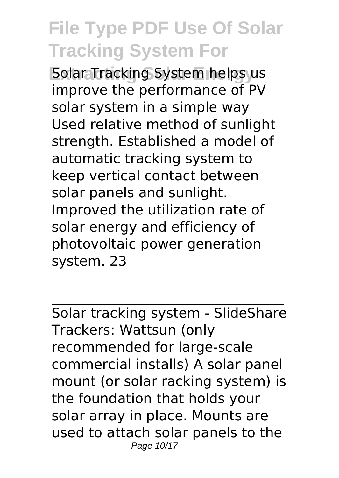**Solar Tracking System helps us** improve the performance of PV solar system in a simple way Used relative method of sunlight strength. Established a model of automatic tracking system to keep vertical contact between solar panels and sunlight. Improved the utilization rate of solar energy and efficiency of photovoltaic power generation system. 23

Solar tracking system - SlideShare Trackers: Wattsun (only recommended for large-scale commercial installs) A solar panel mount (or solar racking system) is the foundation that holds your solar array in place. Mounts are used to attach solar panels to the Page 10/17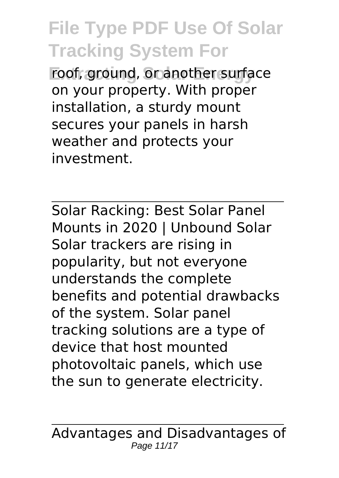**Extracting Solar Energy** roof, ground, or another surface on your property. With proper installation, a sturdy mount secures your panels in harsh weather and protects your investment.

Solar Racking: Best Solar Panel Mounts in 2020 | Unbound Solar Solar trackers are rising in popularity, but not everyone understands the complete benefits and potential drawbacks of the system. Solar panel tracking solutions are a type of device that host mounted photovoltaic panels, which use the sun to generate electricity.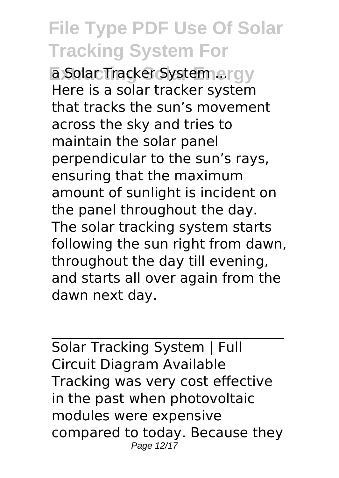**Extraction System ...rav** Here is a solar tracker system that tracks the sun's movement across the sky and tries to maintain the solar panel perpendicular to the sun's rays, ensuring that the maximum amount of sunlight is incident on the panel throughout the day. The solar tracking system starts following the sun right from dawn, throughout the day till evening, and starts all over again from the dawn next day.

Solar Tracking System | Full Circuit Diagram Available Tracking was very cost effective in the past when photovoltaic modules were expensive compared to today. Because they Page 12/17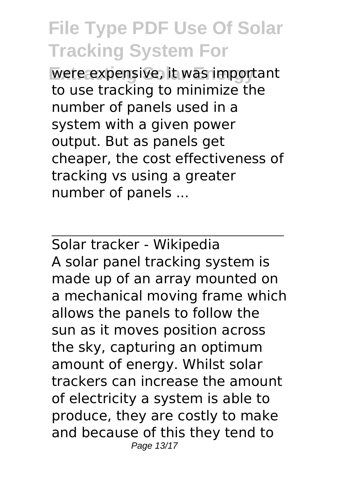**Were expensive, it was important** to use tracking to minimize the number of panels used in a system with a given power output. But as panels get cheaper, the cost effectiveness of tracking vs using a greater number of panels ...

Solar tracker - Wikipedia A solar panel tracking system is made up of an array mounted on a mechanical moving frame which allows the panels to follow the sun as it moves position across the sky, capturing an optimum amount of energy. Whilst solar trackers can increase the amount of electricity a system is able to produce, they are costly to make and because of this they tend to Page 13/17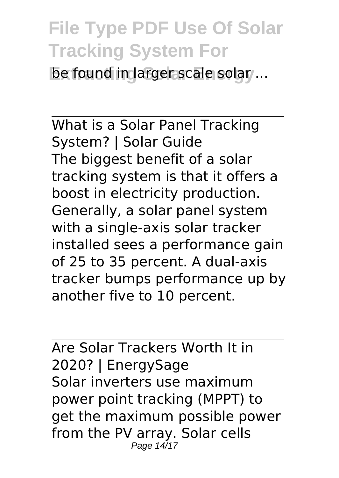**be found in larger scale solar ...** 

What is a Solar Panel Tracking System? | Solar Guide The biggest benefit of a solar tracking system is that it offers a boost in electricity production. Generally, a solar panel system with a single-axis solar tracker installed sees a performance gain of 25 to 35 percent. A dual-axis tracker bumps performance up by another five to 10 percent.

Are Solar Trackers Worth It in 2020? | EnergySage Solar inverters use maximum power point tracking (MPPT) to get the maximum possible power from the PV array. Solar cells Page 14/17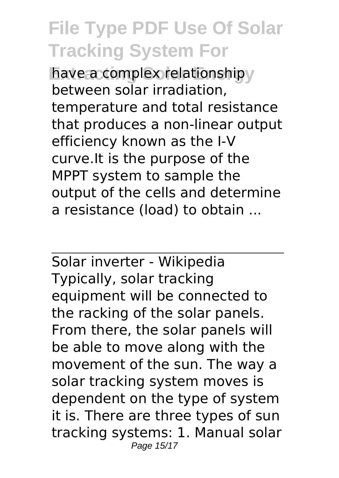**have a complex relationship** between solar irradiation, temperature and total resistance that produces a non-linear output efficiency known as the I-V curve.It is the purpose of the MPPT system to sample the output of the cells and determine a resistance (load) to obtain ...

Solar inverter - Wikipedia Typically, solar tracking equipment will be connected to the racking of the solar panels. From there, the solar panels will be able to move along with the movement of the sun. The way a solar tracking system moves is dependent on the type of system it is. There are three types of sun tracking systems: 1. Manual solar Page 15/17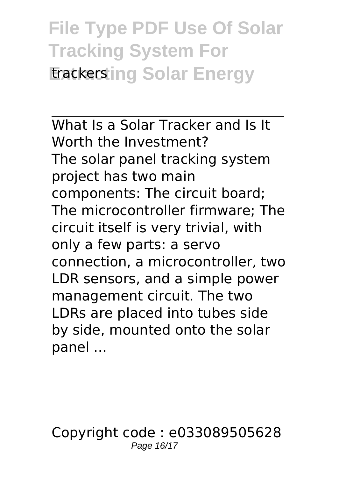#### **File Type PDF Use Of Solar Tracking System For Erackersting Solar Energy**

What Is a Solar Tracker and Is It Worth the Investment? The solar panel tracking system project has two main components: The circuit board; The microcontroller firmware; The circuit itself is very trivial, with only a few parts: a servo connection, a microcontroller, two LDR sensors, and a simple power management circuit. The two LDRs are placed into tubes side by side, mounted onto the solar panel ...

Copyright code : e033089505628 Page 16/17